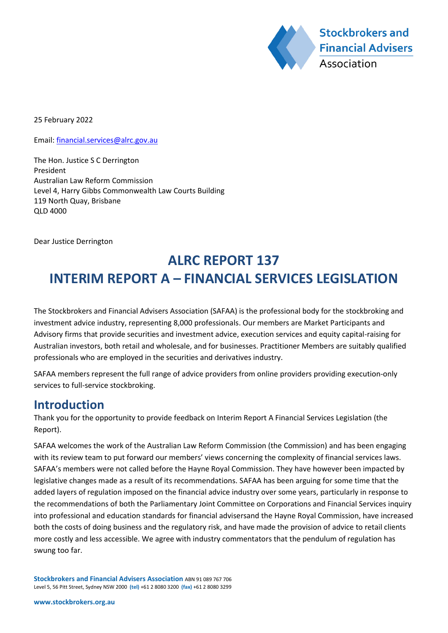

25 February 2022

Email: financial.services@alrc.gov.au

The Hon. Justice S C Derrington President Australian Law Reform Commission Level 4, Harry Gibbs Commonwealth Law Courts Building 119 North Quay, Brisbane QLD 4000

Dear Justice Derrington

# **ALRC REPORT 137 INTERIM REPORT A – FINANCIAL SERVICES LEGISLATION**

The Stockbrokers and Financial Advisers Association (SAFAA) is the professional body for the stockbroking and investment advice industry, representing 8,000 professionals. Our members are Market Participants and Advisory firms that provide securities and investment advice, execution services and equity capital-raising for Australian investors, both retail and wholesale, and for businesses. Practitioner Members are suitably qualified professionals who are employed in the securities and derivatives industry.

SAFAA members represent the full range of advice providers from online providers providing execution-only services to full-service stockbroking.

### **Introduction**

Thank you for the opportunity to provide feedback on Interim Report A Financial Services Legislation (the Report).

SAFAA welcomes the work of the Australian Law Reform Commission (the Commission) and has been engaging with its review team to put forward our members' views concerning the complexity of financial services laws. SAFAA's members were not called before the Hayne Royal Commission. They have however been impacted by legislative changes made as a result of its recommendations. SAFAA has been arguing for some time that the added layers of regulation imposed on the financial advice industry over some years, particularly in response to the recommendations of both the Parliamentary Joint Committee on Corporations and Financial Services inquiry into professional and education standards for financial advisersand the Hayne Royal Commission, have increased both the costs of doing business and the regulatory risk, and have made the provision of advice to retail clients more costly and less accessible. We agree with industry commentators that the pendulum of regulation has swung too far.

**Stockbrokers and Financial Advisers Association** ABN 91 089 767 706 Level 5, 56 Pitt Street, Sydney NSW 2000 **(tel)** +61 2 8080 3200 **(fax)** +61 2 8080 3299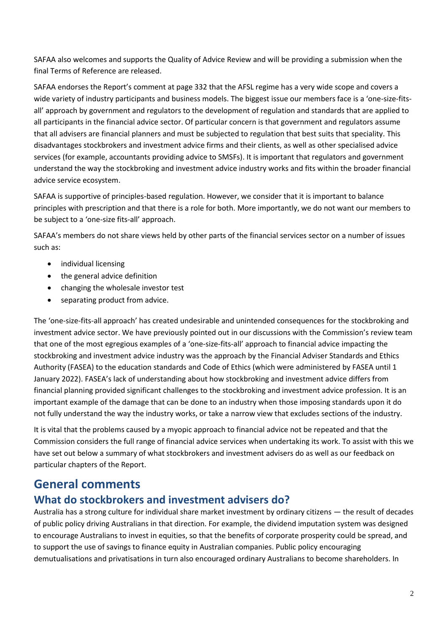SAFAA also welcomes and supports the Quality of Advice Review and will be providing a submission when the final Terms of Reference are released.

SAFAA endorses the Report's comment at page 332 that the AFSL regime has a very wide scope and covers a wide variety of industry participants and business models. The biggest issue our members face is a 'one-size-fitsall' approach by government and regulators to the development of regulation and standards that are applied to all participants in the financial advice sector. Of particular concern is that government and regulators assume that all advisers are financial planners and must be subjected to regulation that best suits that speciality. This disadvantages stockbrokers and investment advice firms and their clients, as well as other specialised advice services (for example, accountants providing advice to SMSFs). It is important that regulators and government understand the way the stockbroking and investment advice industry works and fits within the broader financial advice service ecosystem.

SAFAA is supportive of principles-based regulation. However, we consider that it is important to balance principles with prescription and that there is a role for both. More importantly, we do not want our members to be subject to a 'one-size fits-all' approach.

SAFAA's members do not share views held by other parts of the financial services sector on a number of issues such as:

- individual licensing
- the general advice definition
- changing the wholesale investor test
- separating product from advice.

The 'one-size-fits-all approach' has created undesirable and unintended consequences for the stockbroking and investment advice sector. We have previously pointed out in our discussions with the Commission's review team that one of the most egregious examples of a 'one-size-fits-all' approach to financial advice impacting the stockbroking and investment advice industry was the approach by the Financial Adviser Standards and Ethics Authority (FASEA) to the education standards and Code of Ethics (which were administered by FASEA until 1 January 2022). FASEA's lack of understanding about how stockbroking and investment advice differs from financial planning provided significant challenges to the stockbroking and investment advice profession. It is an important example of the damage that can be done to an industry when those imposing standards upon it do not fully understand the way the industry works, or take a narrow view that excludes sections of the industry.

It is vital that the problems caused by a myopic approach to financial advice not be repeated and that the Commission considers the full range of financial advice services when undertaking its work. To assist with this we have set out below a summary of what stockbrokers and investment advisers do as well as our feedback on particular chapters of the Report.

## **General comments**

### **What do stockbrokers and investment advisers do?**

Australia has a strong culture for individual share market investment by ordinary citizens — the result of decades of public policy driving Australians in that direction. For example, the dividend imputation system was designed to encourage Australians to invest in equities, so that the benefits of corporate prosperity could be spread, and to support the use of savings to finance equity in Australian companies. Public policy encouraging demutualisations and privatisations in turn also encouraged ordinary Australians to become shareholders. In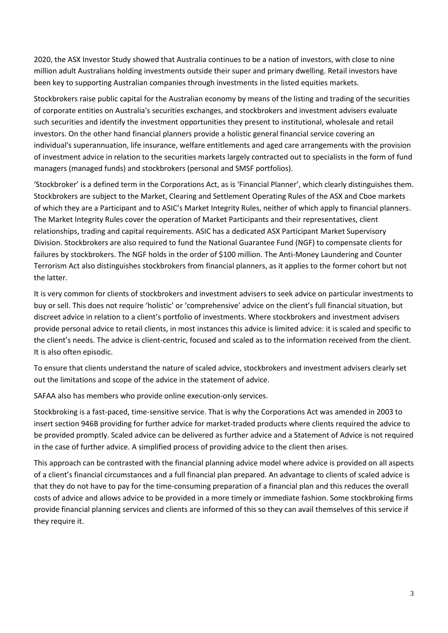2020, the ASX Investor Study showed that Australia continues to be a nation of investors, with close to nine million adult Australians holding investments outside their super and primary dwelling. Retail investors have been key to supporting Australian companies through investments in the listed equities markets.

Stockbrokers raise public capital for the Australian economy by means of the listing and trading of the securities of corporate entities on Australia's securities exchanges, and stockbrokers and investment advisers evaluate such securities and identify the investment opportunities they present to institutional, wholesale and retail investors. On the other hand financial planners provide a holistic general financial service covering an individual's superannuation, life insurance, welfare entitlements and aged care arrangements with the provision of investment advice in relation to the securities markets largely contracted out to specialists in the form of fund managers (managed funds) and stockbrokers (personal and SMSF portfolios).

'Stockbroker' is a defined term in the Corporations Act, as is 'Financial Planner', which clearly distinguishes them. Stockbrokers are subject to the Market, Clearing and Settlement Operating Rules of the ASX and Cboe markets of which they are a Participant and to ASIC's Market Integrity Rules, neither of which apply to financial planners. The Market Integrity Rules cover the operation of Market Participants and their representatives, client relationships, trading and capital requirements. ASIC has a dedicated ASX Participant Market Supervisory Division. Stockbrokers are also required to fund the National Guarantee Fund (NGF) to compensate clients for failures by stockbrokers. The NGF holds in the order of \$100 million. The Anti-Money Laundering and Counter Terrorism Act also distinguishes stockbrokers from financial planners, as it applies to the former cohort but not the latter.

It is very common for clients of stockbrokers and investment advisers to seek advice on particular investments to buy or sell. This does not require 'holistic' or 'comprehensive' advice on the client's full financial situation, but discreet advice in relation to a client's portfolio of investments. Where stockbrokers and investment advisers provide personal advice to retail clients, in most instances this advice is limited advice: it is scaled and specific to the client's needs. The advice is client-centric, focused and scaled as to the information received from the client. It is also often episodic.

To ensure that clients understand the nature of scaled advice, stockbrokers and investment advisers clearly set out the limitations and scope of the advice in the statement of advice.

SAFAA also has members who provide online execution-only services.

Stockbroking is a fast-paced, time-sensitive service. That is why the Corporations Act was amended in 2003 to insert section 946B providing for further advice for market-traded products where clients required the advice to be provided promptly. Scaled advice can be delivered as further advice and a Statement of Advice is not required in the case of further advice. A simplified process of providing advice to the client then arises.

This approach can be contrasted with the financial planning advice model where advice is provided on all aspects of a client's financial circumstances and a full financial plan prepared. An advantage to clients of scaled advice is that they do not have to pay for the time-consuming preparation of a financial plan and this reduces the overall costs of advice and allows advice to be provided in a more timely or immediate fashion. Some stockbroking firms provide financial planning services and clients are informed of this so they can avail themselves of this service if they require it.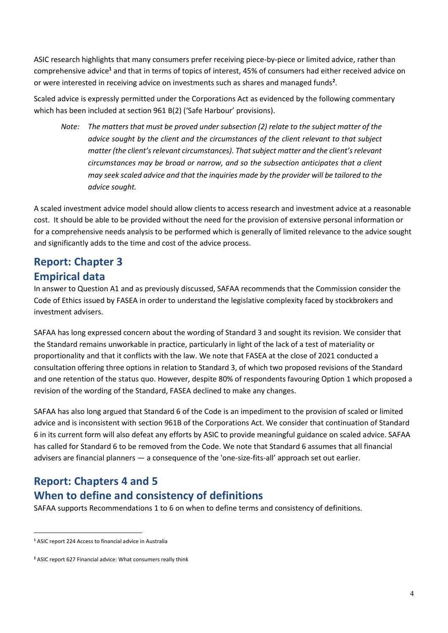ASIC research highlights that many consumers prefer receiving piece-by-piece or limited advice, rather than comprehensive advice **<sup>1</sup>** and that in terms of topics of interest, 45% of consumers had either received advice on or were interested in receiving advice on investments such as shares and managed funds**<sup>2</sup>** .

Scaled advice is expressly permitted under the Corporations Act as evidenced by the following commentary which has been included at section 961 B(2) ('Safe Harbour' provisions).

*Note: The matters that must be proved under subsection (2) relate to the subject matter of the advice sought by the client and the circumstances of the client relevant to that subject matter (the client's relevant circumstances). That subject matter and the client's relevant circumstances may be broad or narrow, and so the subsection anticipates that a client may seek scaled advice and that the inquiries made by the provider will be tailored to the advice sought.*

A scaled investment advice model should allow clients to access research and investment advice at a reasonable cost. It should be able to be provided without the need for the provision of extensive personal information or for a comprehensive needs analysis to be performed which is generally of limited relevance to the advice sought and significantly adds to the time and cost of the advice process.

### **Report: Chapter 3 Empirical data**

In answer to Question A1 and as previously discussed, SAFAA recommends that the Commission consider the Code of Ethics issued by FASEA in order to understand the legislative complexity faced by stockbrokers and investment advisers.

SAFAA has long expressed concern about the wording of Standard 3 and sought its revision. We consider that the Standard remains unworkable in practice, particularly in light of the lack of a test of materiality or proportionality and that it conflicts with the law. We note that FASEA at the close of 2021 conducted a consultation offering three options in relation to Standard 3, of which two proposed revisions of the Standard and one retention of the status quo. However, despite 80% of respondents favouring Option 1 which proposed a revision of the wording of the Standard, FASEA declined to make any changes.

SAFAA has also long argued that Standard 6 of the Code is an impediment to the provision of scaled or limited advice and is inconsistent with section 961B of the Corporations Act. We consider that continuation of Standard 6 in its current form will also defeat any efforts by ASIC to provide meaningful guidance on scaled advice. SAFAA has called for Standard 6 to be removed from the Code. We note that Standard 6 assumes that all financial advisers are financial planners — a consequence of the 'one-size-fits-all' approach set out earlier.

## **Report: Chapters 4 and 5**

## **When to define and consistency of definitions**

SAFAA supports Recommendations 1 to 6 on when to define terms and consistency of definitions.

**<sup>1</sup>** ASIC report 224 Access to financial advice in Australia

**<sup>2</sup>** ASIC report 627 Financial advice: What consumers really think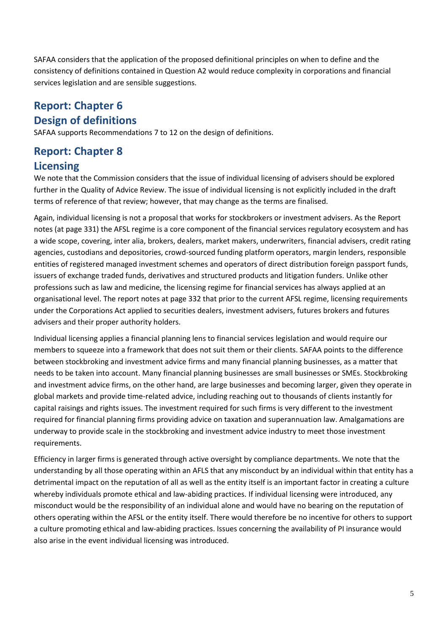SAFAA considers that the application of the proposed definitional principles on when to define and the consistency of definitions contained in Question A2 would reduce complexity in corporations and financial services legislation and are sensible suggestions.

## **Report: Chapter 6 Design of definitions**

SAFAA supports Recommendations 7 to 12 on the design of definitions.

## **Report: Chapter 8 Licensing**

We note that the Commission considers that the issue of individual licensing of advisers should be explored further in the Quality of Advice Review. The issue of individual licensing is not explicitly included in the draft terms of reference of that review; however, that may change as the terms are finalised.

Again, individual licensing is not a proposal that works for stockbrokers or investment advisers. As the Report notes (at page 331) the AFSL regime is a core component of the financial services regulatory ecosystem and has a wide scope, covering, inter alia, brokers, dealers, market makers, underwriters, financial advisers, credit rating agencies, custodians and depositories, crowd-sourced funding platform operators, margin lenders, responsible entities of registered managed investment schemes and operators of direct distribution foreign passport funds, issuers of exchange traded funds, derivatives and structured products and litigation funders. Unlike other professions such as law and medicine, the licensing regime for financial services has always applied at an organisational level. The report notes at page 332 that prior to the current AFSL regime, licensing requirements under the Corporations Act applied to securities dealers, investment advisers, futures brokers and futures advisers and their proper authority holders.

Individual licensing applies a financial planning lens to financial services legislation and would require our members to squeeze into a framework that does not suit them or their clients. SAFAA points to the difference between stockbroking and investment advice firms and many financial planning businesses, as a matter that needs to be taken into account. Many financial planning businesses are small businesses or SMEs. Stockbroking and investment advice firms, on the other hand, are large businesses and becoming larger, given they operate in global markets and provide time-related advice, including reaching out to thousands of clients instantly for capital raisings and rights issues. The investment required for such firms is very different to the investment required for financial planning firms providing advice on taxation and superannuation law. Amalgamations are underway to provide scale in the stockbroking and investment advice industry to meet those investment requirements.

Efficiency in larger firms is generated through active oversight by compliance departments. We note that the understanding by all those operating within an AFLS that any misconduct by an individual within that entity has a detrimental impact on the reputation of all as well as the entity itself is an important factor in creating a culture whereby individuals promote ethical and law-abiding practices. If individual licensing were introduced, any misconduct would be the responsibility of an individual alone and would have no bearing on the reputation of others operating within the AFSL or the entity itself. There would therefore be no incentive for others to support a culture promoting ethical and law-abiding practices. Issues concerning the availability of PI insurance would also arise in the event individual licensing was introduced.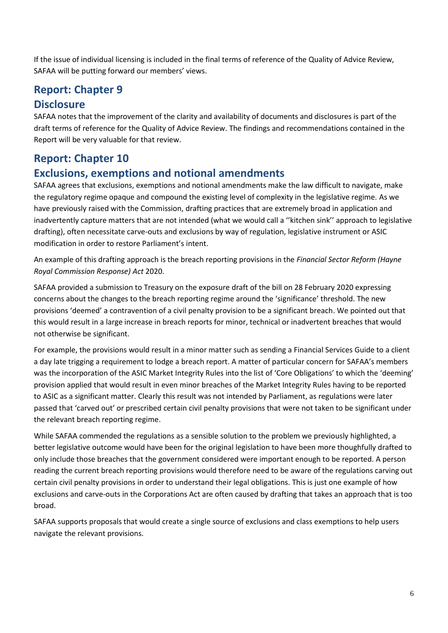If the issue of individual licensing is included in the final terms of reference of the Quality of Advice Review, SAFAA will be putting forward our members' views.

## **Report: Chapter 9**

#### **Disclosure**

SAFAA notes that the improvement of the clarity and availability of documents and disclosures is part of the draft terms of reference for the Quality of Advice Review. The findings and recommendations contained in the Report will be very valuable for that review.

### **Report: Chapter 10**

### **Exclusions, exemptions and notional amendments**

SAFAA agrees that exclusions, exemptions and notional amendments make the law difficult to navigate, make the regulatory regime opaque and compound the existing level of complexity in the legislative regime. As we have previously raised with the Commission, drafting practices that are extremely broad in application and inadvertently capture matters that are not intended (what we would call a ''kitchen sink'' approach to legislative drafting), often necessitate carve-outs and exclusions by way of regulation, legislative instrument or ASIC modification in order to restore Parliament's intent.

An example of this drafting approach is the breach reporting provisions in the *Financial Sector Reform (Hayne Royal Commission Response) Act* 2020.

SAFAA provided a submission to Treasury on the exposure draft of the bill on 28 February 2020 expressing concerns about the changes to the breach reporting regime around the 'significance' threshold. The new provisions 'deemed' a contravention of a civil penalty provision to be a significant breach. We pointed out that this would result in a large increase in breach reports for minor, technical or inadvertent breaches that would not otherwise be significant.

For example, the provisions would result in a minor matter such as sending a Financial Services Guide to a client a day late trigging a requirement to lodge a breach report. A matter of particular concern for SAFAA's members was the incorporation of the ASIC Market Integrity Rules into the list of 'Core Obligations' to which the 'deeming' provision applied that would result in even minor breaches of the Market Integrity Rules having to be reported to ASIC as a significant matter. Clearly this result was not intended by Parliament, as regulations were later passed that 'carved out' or prescribed certain civil penalty provisions that were not taken to be significant under the relevant breach reporting regime.

While SAFAA commended the regulations as a sensible solution to the problem we previously highlighted, a better legislative outcome would have been for the original legislation to have been more thoughfully drafted to only include those breaches that the government considered were important enough to be reported. A person reading the current breach reporting provisions would therefore need to be aware of the regulations carving out certain civil penalty provisions in order to understand their legal obligations. This is just one example of how exclusions and carve-outs in the Corporations Act are often caused by drafting that takes an approach that is too broad.

SAFAA supports proposals that would create a single source of exclusions and class exemptions to help users navigate the relevant provisions.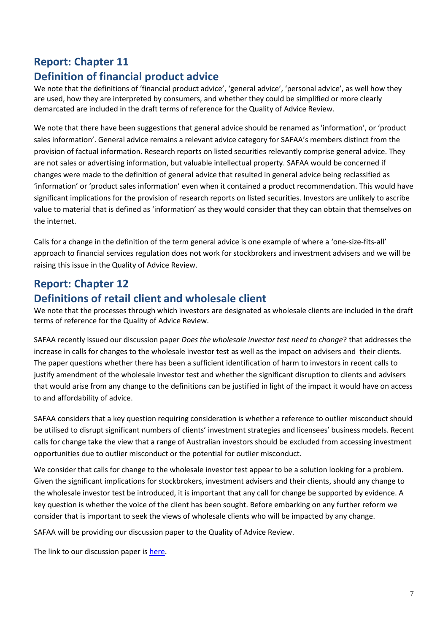## **Report: Chapter 11**

## **Definition of financial product advice**

We note that the definitions of 'financial product advice', 'general advice', 'personal advice', as well how they are used, how they are interpreted by consumers, and whether they could be simplified or more clearly demarcated are included in the draft terms of reference for the Quality of Advice Review.

We note that there have been suggestions that general advice should be renamed as 'information', or 'product sales information'. General advice remains a relevant advice category for SAFAA's members distinct from the provision of factual information. Research reports on listed securities relevantly comprise general advice. They are not sales or advertising information, but valuable intellectual property. SAFAA would be concerned if changes were made to the definition of general advice that resulted in general advice being reclassified as 'information' or 'product sales information' even when it contained a product recommendation. This would have significant implications for the provision of research reports on listed securities. Investors are unlikely to ascribe value to material that is defined as 'information' as they would consider that they can obtain that themselves on the internet.

Calls for a change in the definition of the term general advice is one example of where a 'one-size-fits-all' approach to financial services regulation does not work for stockbrokers and investment advisers and we will be raising this issue in the Quality of Advice Review.

## **Report: Chapter 12**

### **Definitions of retail client and wholesale client**

We note that the processes through which investors are designated as wholesale clients are included in the draft terms of reference for the Quality of Advice Review.

SAFAA recently issued our discussion paper *Does the wholesale investor test need to change*? that addresses the increase in calls for changes to the wholesale investor test as well as the impact on advisers and their clients. The paper questions whether there has been a sufficient identification of harm to investors in recent calls to justify amendment of the wholesale investor test and whether the significant disruption to clients and advisers that would arise from any change to the definitions can be justified in light of the impact it would have on access to and affordability of advice.

SAFAA considers that a key question requiring consideration is whether a reference to outlier misconduct should be utilised to disrupt significant numbers of clients' investment strategies and licensees' business models. Recent calls for change take the view that a range of Australian investors should be excluded from accessing investment opportunities due to outlier misconduct or the potential for outlier misconduct.

We consider that calls for change to the wholesale investor test appear to be a solution looking for a problem. Given the significant implications for stockbrokers, investment advisers and their clients, should any change to the wholesale investor test be introduced, it is important that any call for change be supported by evidence. A key question is whether the voice of the client has been sought. Before embarking on any further reform we consider that is important to seek the views of wholesale clients who will be impacted by any change.

SAFAA will be providing our discussion paper to the Quality of Advice Review.

The link to our discussion paper is here.